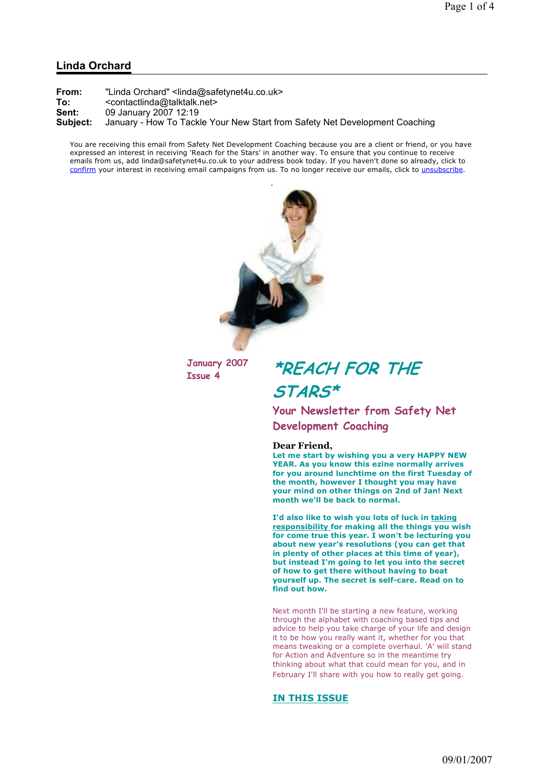## Linda Orchard

| From:    | "Linda Orchard" <linda@safetynet4u.co.uk></linda@safetynet4u.co.uk>         |
|----------|-----------------------------------------------------------------------------|
| To:      | <contactlinda@talktalk.net></contactlinda@talktalk.net>                     |
| Sent:    | 09 January 2007 12:19                                                       |
| Subject: | January - How To Tackle Your New Start from Safety Net Development Coaching |

You are receiving this email from Safety Net Development Coaching because you are a client or friend, or you have expressed an interest in receiving 'Reach for the Stars' in another way. To ensure that you continue to receive emails from us, add linda@safetynet4u.co.uk to your address book today. If you haven't done so already, click to confirm your interest in receiving email campaigns from us. To no longer receive our emails, click to unsubscribe.



January 2007

January 2007 \*REACH FOR THE STARS\*

> Your Newsletter from Safety Net Development Coaching

#### Dear Friend,

Let me start by wishing you a very HAPPY NEW YEAR. As you know this ezine normally arrives for you around lunchtime on the first Tuesday of the month, however I thought you may have your mind on other things on 2nd of Jan! Next month we'll be back to normal.

I'd also like to wish you lots of luck in taking responsibility for making all the things you wish for come true this year. I won't be lecturing you about new year's resolutions (you can get that in plenty of other places at this time of year), but instead I'm going to let you into the secret of how to get there without having to beat yourself up. The secret is self-care. Read on to find out how.

Next month I'll be starting a new feature, working through the alphabet with coaching based tips and advice to help you take charge of your life and design it to be how you really want it, whether for you that means tweaking or a complete overhaul. 'A' will stand for Action and Adventure so in the meantime try thinking about what that could mean for you, and in February I'll share with you how to really get going.

### IN THIS ISSUE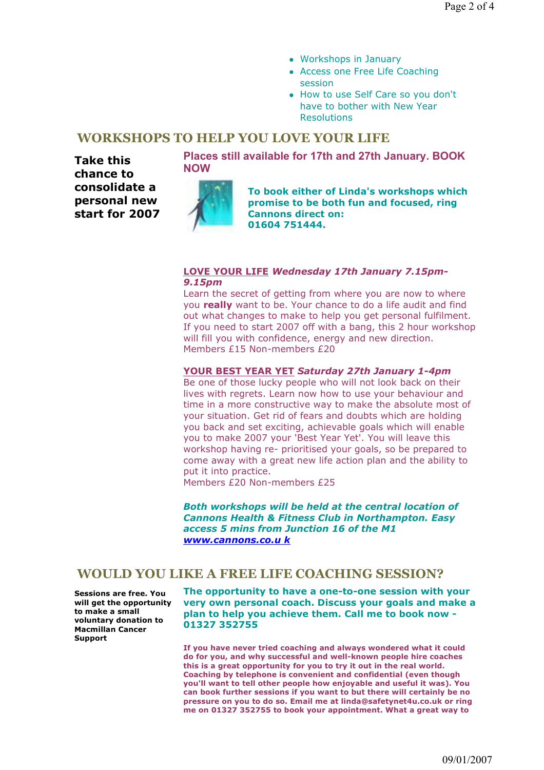- Workshops in January
- Access one Free Life Coaching session
- How to use Self Care so you don't have to bother with New Year Resolutions

## WORKSHOPS TO HELP YOU LOVE YOUR LIFE

Take this chance to consolidate a personal new start for 2007 Places still available for 17th and 27th January. BOOK NOW



To book either of Linda's workshops which promise to be both fun and focused, ring Cannons direct on: 01604 751444.

### LOVE YOUR LIFE Wednesday 17th January 7.15pm-9.15pm

Learn the secret of getting from where you are now to where you really want to be. Your chance to do a life audit and find out what changes to make to help you get personal fulfilment. If you need to start 2007 off with a bang, this 2 hour workshop will fill you with confidence, energy and new direction. Members £15 Non-members £20

## YOUR BEST YEAR YET Saturday 27th January 1-4pm

Be one of those lucky people who will not look back on their lives with regrets. Learn now how to use your behaviour and time in a more constructive way to make the absolute most of your situation. Get rid of fears and doubts which are holding you back and set exciting, achievable goals which will enable you to make 2007 your 'Best Year Yet'. You will leave this workshop having re- prioritised your goals, so be prepared to come away with a great new life action plan and the ability to put it into practice.

Members £20 Non-members £25

Both workshops will be held at the central location of Cannons Health & Fitness Club in Northampton. Easy access 5 mins from Junction 16 of the M1 www.cannons.co.u k

## WOULD YOU LIKE A FREE LIFE COACHING SESSION?

Sessions are free. You will get the opportunity to make a small voluntary donation to Macmillan Cancer Support

The opportunity to have a one-to-one session with your very own personal coach. Discuss your goals and make a plan to help you achieve them. Call me to book now - 01327 352755

If you have never tried coaching and always wondered what it could do for you, and why successful and well-known people hire coaches this is a great opportunity for you to try it out in the real world. Coaching by telephone is convenient and confidential (even though you'll want to tell other people how enjoyable and useful it was). You can book further sessions if you want to but there will certainly be no pressure on you to do so. Email me at linda@safetynet4u.co.uk or ring me on 01327 352755 to book your appointment. What a great way to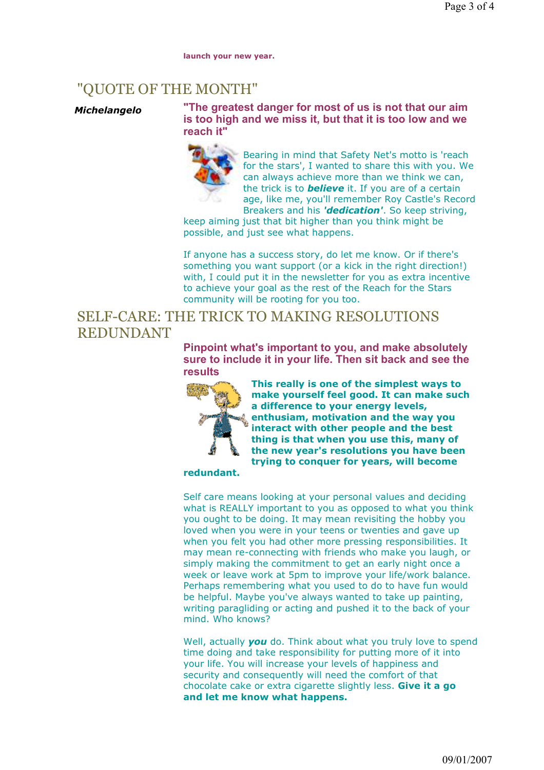launch your new year.

# "QUOTE OF THE MONTH"

Michelangelo "The greatest danger for most of us is not that our aim is too high and we miss it, but that it is too low and we reach it"



Bearing in mind that Safety Net's motto is 'reach for the stars', I wanted to share this with you. We can always achieve more than we think we can, the trick is to **believe** it. If you are of a certain age, like me, you'll remember Roy Castle's Record Breakers and his 'dedication'. So keep striving,

keep aiming just that bit higher than you think might be possible, and just see what happens.

If anyone has a success story, do let me know. Or if there's something you want support (or a kick in the right direction!) with. I could put it in the newsletter for you as extra incentive to achieve your goal as the rest of the Reach for the Stars community will be rooting for you too.

# SELF-CARE: THE TRICK TO MAKING RESOLUTIONS REDUNDANT

Pinpoint what's important to you, and make absolutely sure to include it in your life. Then sit back and see the results



This really is one of the simplest ways to make yourself feel good. It can make such a difference to your energy levels, enthusiam, motivation and the way you interact with other people and the best thing is that when you use this, many of the new year's resolutions you have been trying to conquer for years, will become

## redundant.

Self care means looking at your personal values and deciding what is REALLY important to you as opposed to what you think you ought to be doing. It may mean revisiting the hobby you loved when you were in your teens or twenties and gave up when you felt you had other more pressing responsibilities. It may mean re-connecting with friends who make you laugh, or simply making the commitment to get an early night once a week or leave work at 5pm to improve your life/work balance. Perhaps remembering what you used to do to have fun would be helpful. Maybe you've always wanted to take up painting, writing paragliding or acting and pushed it to the back of your mind. Who knows?

Well, actually **you** do. Think about what you truly love to spend time doing and take responsibility for putting more of it into your life. You will increase your levels of happiness and security and consequently will need the comfort of that chocolate cake or extra cigarette slightly less. Give it a go and let me know what happens.